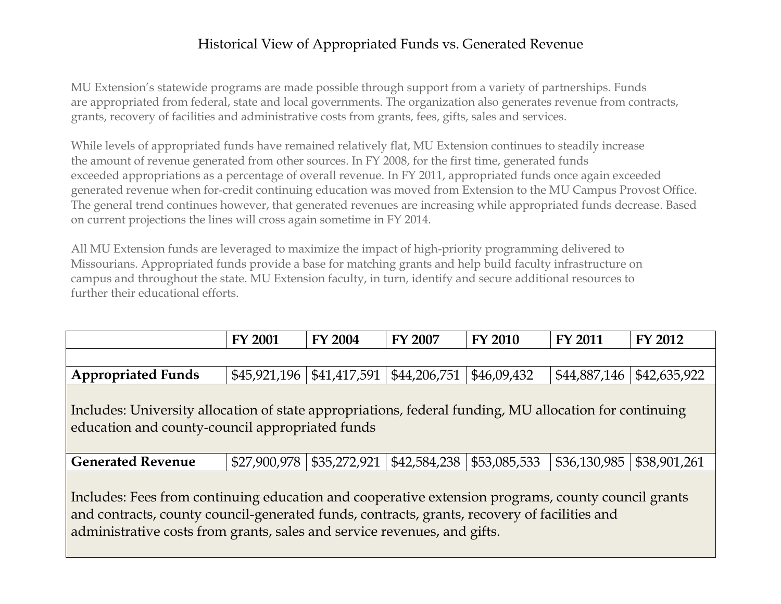## Historical View of Appropriated Funds vs. Generated Revenue

MU Extension's statewide programs are made possible through support from a variety of partnerships. Funds are appropriated from federal, state and local governments. The organization also generates revenue from contracts, grants, recovery of facilities and administrative costs from grants, fees, gifts, sales and services.

While levels of appropriated funds have remained relatively flat, MU Extension continues to steadily increase the amount of revenue generated from other sources. In FY 2008, for the first time, generated funds exceeded appropriations as a percentage of overall revenue. In FY 2011, appropriated funds once again exceeded generated revenue when for-credit continuing education was moved from Extension to the MU Campus Provost Office. The general trend continues however, that generated revenues are increasing while appropriated funds decrease. Based on current projections the lines will cross again sometime in FY 2014.

All MU Extension funds are leveraged to maximize the impact of high-priority programming delivered to Missourians. Appropriated funds provide a base for matching grants and help build faculty infrastructure on campus and throughout the state. MU Extension faculty, in turn, identify and secure additional resources to further their educational efforts.

|                                                                                                                                                                                                                                                                                | <b>FY 2001</b>                 | <b>FY 2004</b> | <b>FY 2007</b> | <b>FY 2010</b> | <b>FY 2011</b> | FY 2012      |
|--------------------------------------------------------------------------------------------------------------------------------------------------------------------------------------------------------------------------------------------------------------------------------|--------------------------------|----------------|----------------|----------------|----------------|--------------|
|                                                                                                                                                                                                                                                                                |                                |                |                |                |                |              |
| <b>Appropriated Funds</b>                                                                                                                                                                                                                                                      | $$45,921,196 \mid $41,417,591$ |                | \$44,206,751   | \$46,09,432    | \$44,887,146   | \$42,635,922 |
| Includes: University allocation of state appropriations, federal funding, MU allocation for continuing<br>education and county-council appropriated funds                                                                                                                      |                                |                |                |                |                |              |
| <b>Generated Revenue</b>                                                                                                                                                                                                                                                       | \$27,900,978                   | \$35,272,921   | \$42,584,238   | \$53,085,533   | \$36,130,985   | \$38,901,261 |
| Includes: Fees from continuing education and cooperative extension programs, county council grants<br>and contracts, county council-generated funds, contracts, grants, recovery of facilities and<br>administrative costs from grants, sales and service revenues, and gifts. |                                |                |                |                |                |              |